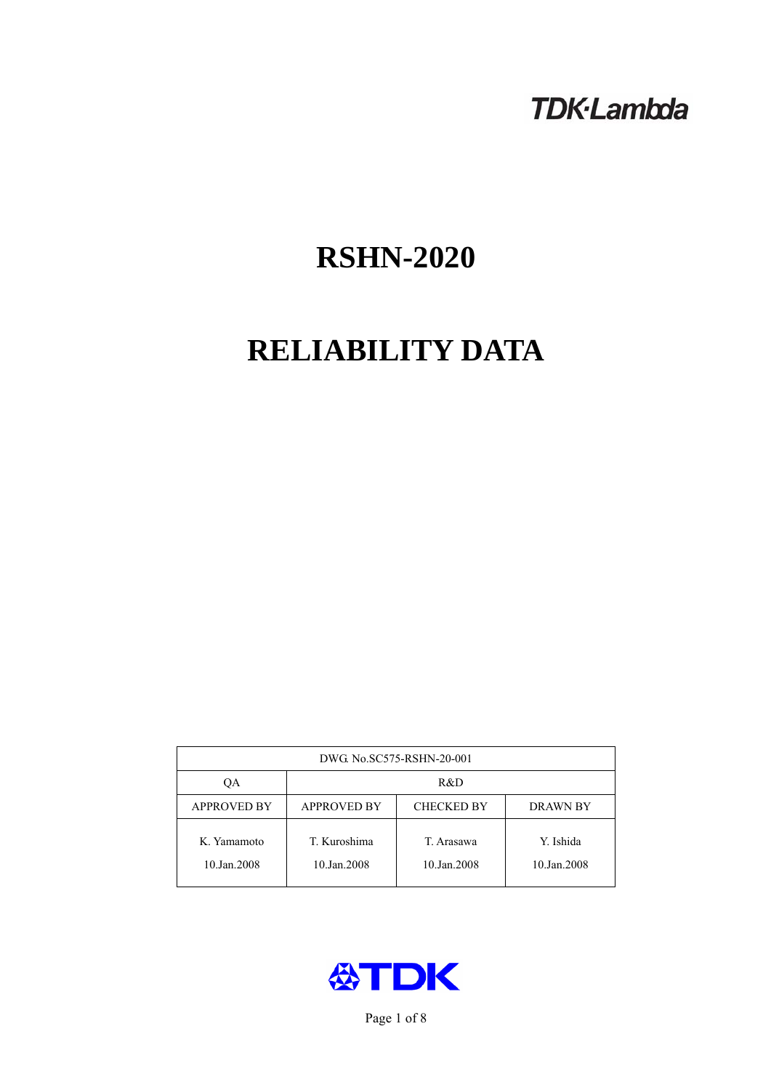## **TDK-Lambda**

# **RSHN-2020**

# **RELIABILITY DATA**

| DWG No.SC575-RSHN-20-001   |                                                            |                           |                          |  |  |
|----------------------------|------------------------------------------------------------|---------------------------|--------------------------|--|--|
| ОA                         | R&D                                                        |                           |                          |  |  |
| <b>APPROVED BY</b>         | <b>APPROVED BY</b><br><b>CHECKED BY</b><br><b>DRAWN BY</b> |                           |                          |  |  |
| K. Yamamoto<br>10.Jan.2008 | T. Kuroshima<br>10.Jan.2008                                | T. Arasawa<br>10.Jan.2008 | Y. Ishida<br>10.Jan.2008 |  |  |



Page 1 of 8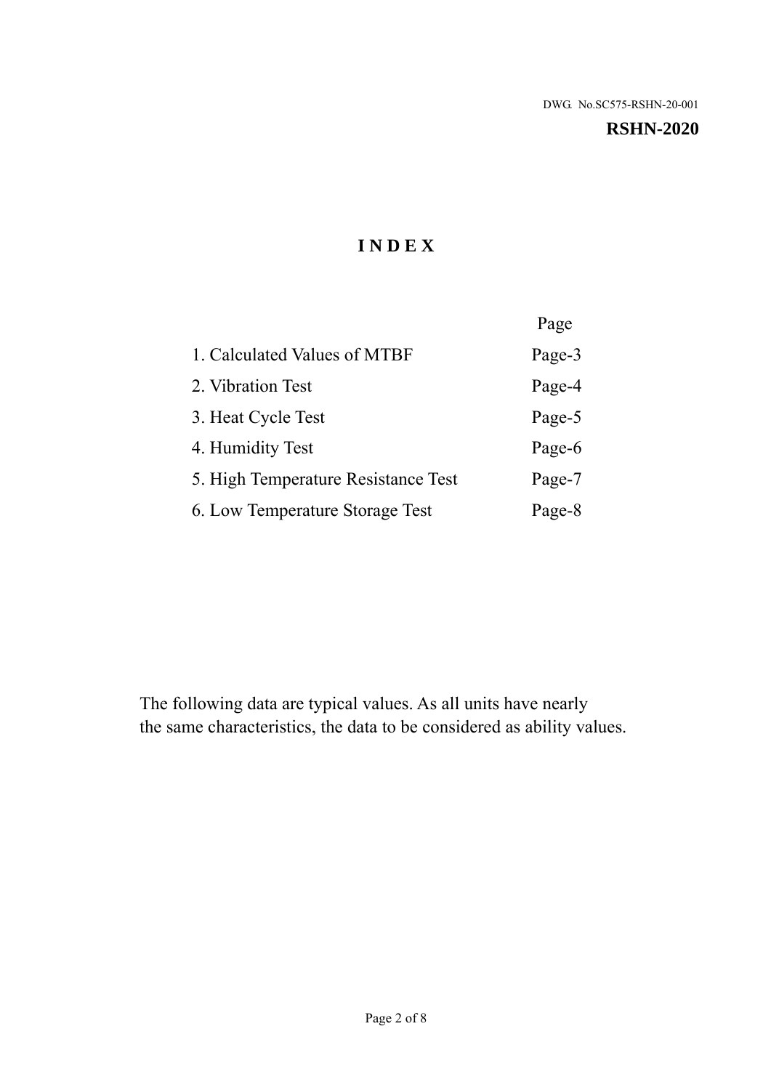**RSHN-2020** 

## **I N D E X**

|                                     | Page   |
|-------------------------------------|--------|
| 1. Calculated Values of MTBF        | Page-3 |
| 2. Vibration Test                   | Page-4 |
| 3. Heat Cycle Test                  | Page-5 |
| 4. Humidity Test                    | Page-6 |
| 5. High Temperature Resistance Test | Page-7 |
| 6. Low Temperature Storage Test     | Page-8 |

The following data are typical values. As all units have nearly the same characteristics, the data to be considered as ability values.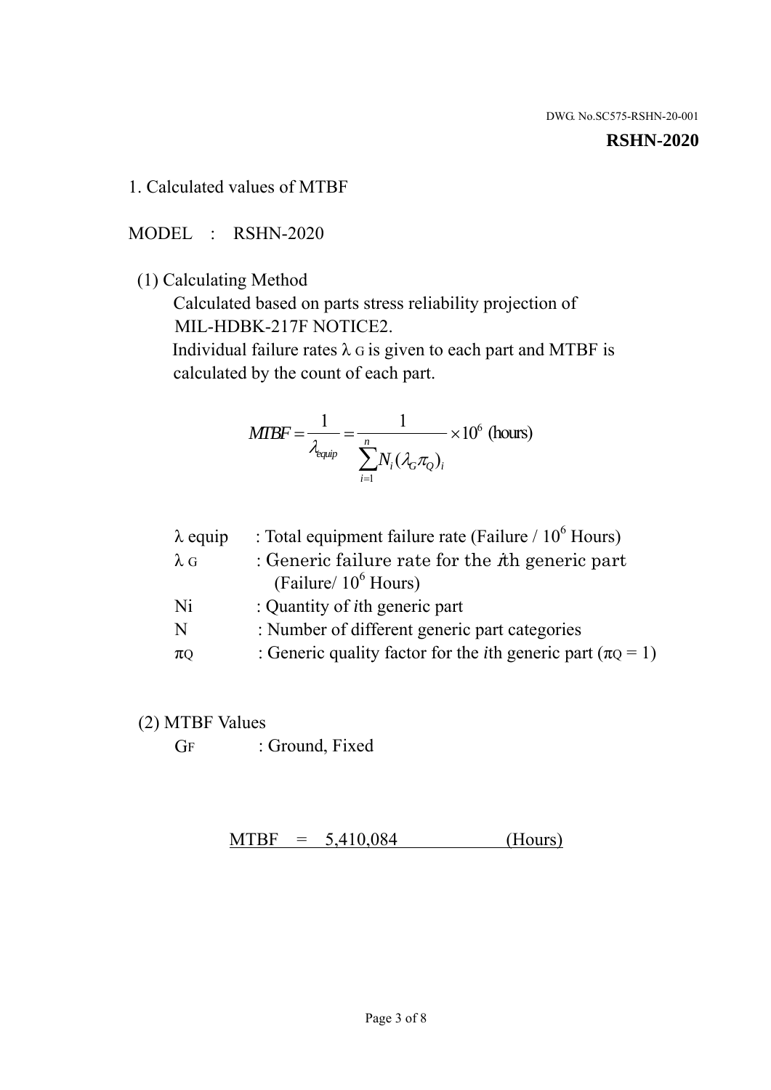#### **RSHN-2020**

1. Calculated values of MTBF

MODEL : RSHN-2020

(1) Calculating Method

 Calculated based on parts stress reliability projection of MIL-HDBK-217F NOTICE2.

Individual failure rates  $\lambda$  G is given to each part and MTBF is calculated by the count of each part.

$$
MIBF = \frac{1}{\lambda_{\text{equip}}} = \frac{1}{\sum_{i=1}^{n} N_i (\lambda_G \pi_Q)_i} \times 10^6 \text{ (hours)}
$$

| $\lambda$ equip | : Total equipment failure rate (Failure $/ 10^6$ Hours)                   |
|-----------------|---------------------------------------------------------------------------|
| $\lambda$ G     | : Generic failure rate for the $\hbar$ generic part                       |
|                 | (Failure/ $10^6$ Hours)                                                   |
| Ni              | : Quantity of <i>i</i> th generic part                                    |
| N               | : Number of different generic part categories                             |
| $\pi$ Q         | : Generic quality factor for the <i>i</i> th generic part ( $\pi Q = 1$ ) |

- (2) MTBF Values
	- GF : Ground, Fixed

 $MTBF = 5,410,084$  (Hours)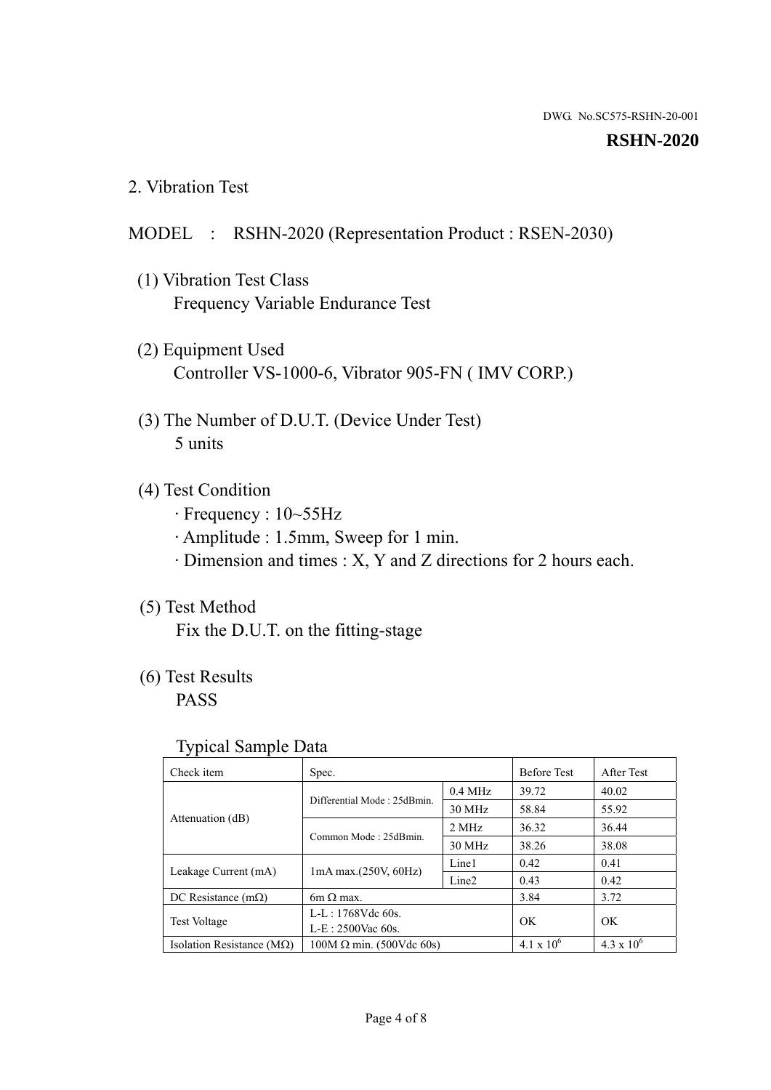#### **RSHN-2020**

2. Vibration Test

## MODEL : RSHN-2020 (Representation Product : RSEN-2030)

- (1) Vibration Test Class Frequency Variable Endurance Test
- (2) Equipment Used Controller VS-1000-6, Vibrator 905-FN ( IMV CORP.)
- (3) The Number of D.U.T. (Device Under Test) 5 units
- (4) Test Condition
	- · Frequency : 10~55Hz
	- · Amplitude : 1.5mm, Sweep for 1 min.
	- · Dimension and times : X, Y and Z directions for 2 hours each.

## (5) Test Method

Fix the D.U.T. on the fitting-stage

## (6) Test Results

PASS

#### Typical Sample Data

| . .                           |                                                         |           |                     |                     |
|-------------------------------|---------------------------------------------------------|-----------|---------------------|---------------------|
| Check item                    | Spec.                                                   |           | <b>Before Test</b>  | After Test          |
|                               | Differential Mode: 25dBmin.                             | $0.4$ MHz | 39.72               | 40.02               |
|                               |                                                         | 30 MHz    | 58.84               | 55.92               |
| Attenuation (dB)              | Common Mode: 25dBmin.                                   | 2 MHz     | 36.32               | 36.44               |
|                               |                                                         | 30 MHz    | 38.26               | 38.08               |
| Leakage Current (mA)          | Line1<br>$1mA$ max. $(250V, 60Hz)$<br>Line <sub>2</sub> |           | 0.42                | 0.41                |
|                               |                                                         |           | 0.43                | 0.42                |
| DC Resistance $(m\Omega)$     | $6m \Omega$ max.                                        |           | 3.84                | 3.72                |
| <b>Test Voltage</b>           | $L-L: 1768Vdc$ 60s.                                     |           | OK                  | OK.                 |
|                               | $L-E$ : 2500Vac 60s.                                    |           |                     |                     |
| Isolation Resistance ( $MQ$ ) | $100M \Omega$ min. (500Vdc 60s)                         |           | $4.1 \times 10^{6}$ | $4.3 \times 10^{6}$ |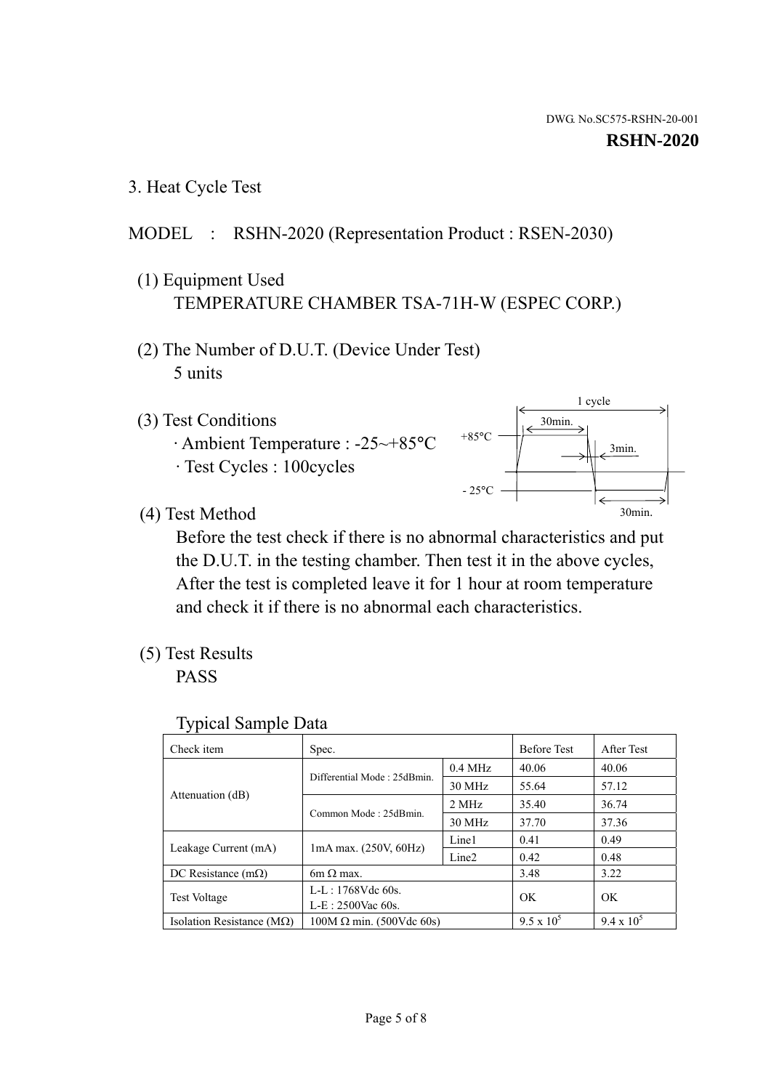1 cycle

30min.

3min.

30min.

3. Heat Cycle Test

## MODEL : RSHN-2020 (Representation Product : RSEN-2030)

- (1) Equipment Used TEMPERATURE CHAMBER TSA-71H-W (ESPEC CORP.)
- (2) The Number of D.U.T. (Device Under Test) 5 units
- (3) Test Conditions
	- · Ambient Temperature : -25~+85°C · Test Cycles : 100cycles
- (4) Test Method

 Before the test check if there is no abnormal characteristics and put the D.U.T. in the testing chamber. Then test it in the above cycles, After the test is completed leave it for 1 hour at room temperature and check it if there is no abnormal each characteristics.

 $+85$ °C

 $-25^{\circ}$ C

(5) Test Results

PASS

| <b>Typical Sample Data</b> |  |  |
|----------------------------|--|--|
|----------------------------|--|--|

| Check item                    | Spec.                           |                   | <b>Before Test</b> | After Test        |
|-------------------------------|---------------------------------|-------------------|--------------------|-------------------|
|                               | Differential Mode: 25dBmin.     | $0.4$ MHz         | 40.06              | 40.06             |
|                               |                                 | 30 MHz            | 55.64              | 57.12             |
| Attenuation (dB)              | Common Mode: 25dBmin.           | 2 MHz             | 35.40              | 36.74             |
|                               |                                 | 30 MHz            | 37.70              | 37.36             |
| Leakage Current (mA)          | $1mA$ max. $(250V, 60Hz)$       | Line1             | 0.41               | 0.49              |
|                               |                                 | Line <sub>2</sub> | 0.42               | 0.48              |
| DC Resistance $(m\Omega)$     | $6m \Omega$ max.                |                   | 3.48               | 3.22              |
| <b>Test Voltage</b>           | $L-L: 1768Vdc$ 60s.             |                   | OK                 | OK                |
|                               | L-E: 2500Vac 60s.               |                   |                    |                   |
| Isolation Resistance ( $MQ$ ) | $100M \Omega$ min. (500Vdc 60s) |                   | $9.5 \times 10^5$  | $9.4 \times 10^5$ |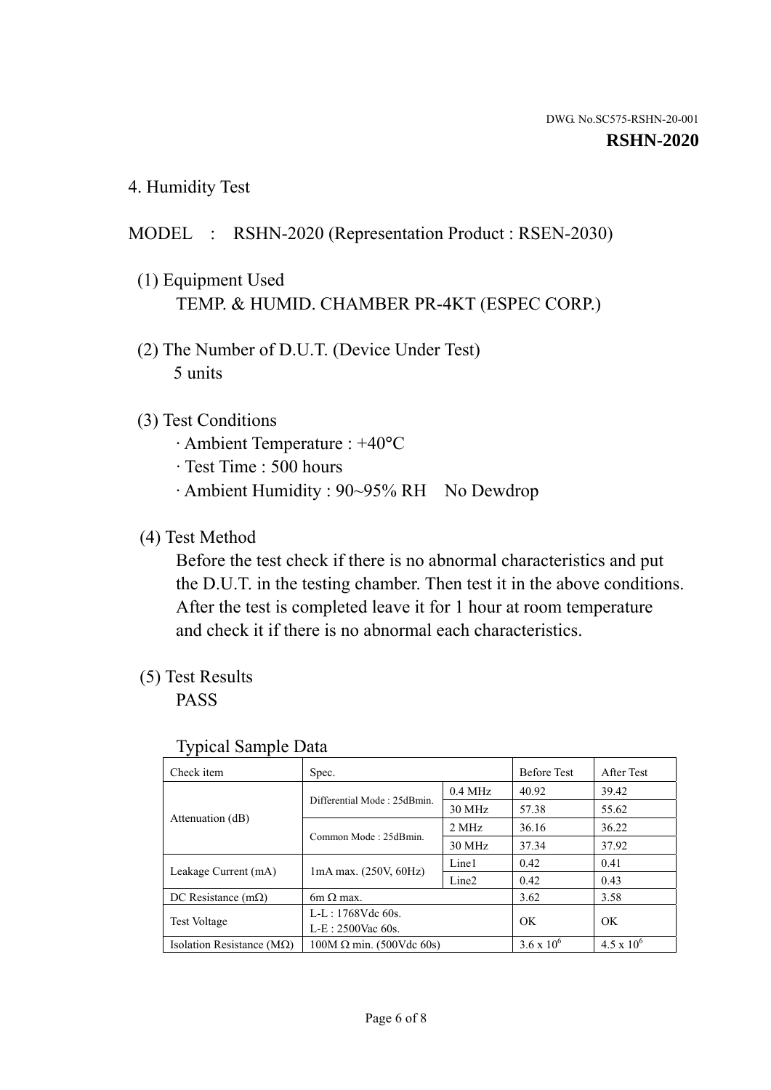4. Humidity Test

## MODEL : RSHN-2020 (Representation Product : RSEN-2030)

- (1) Equipment Used TEMP. & HUMID. CHAMBER PR-4KT (ESPEC CORP.)
- (2) The Number of D.U.T. (Device Under Test) 5 units

### (3) Test Conditions

- · Ambient Temperature : +40°C
- · Test Time : 500 hours
- · Ambient Humidity : 90~95% RH No Dewdrop

### (4) Test Method

 Before the test check if there is no abnormal characteristics and put the D.U.T. in the testing chamber. Then test it in the above conditions. After the test is completed leave it for 1 hour at room temperature and check it if there is no abnormal each characteristics.

### (5) Test Results

PASS

| ╯┸                                 |                                 |                   |                     |                   |
|------------------------------------|---------------------------------|-------------------|---------------------|-------------------|
| Check item                         | Spec.                           |                   | <b>Before Test</b>  | After Test        |
|                                    | Differential Mode: 25dBmin.     | $0.4$ MHz         | 40.92               | 39.42             |
|                                    |                                 | 30 MHz            | 57.38               | 55.62             |
| Attenuation (dB)                   | Common Mode: 25dBmin.           | 2 MHz             | 36.16               | 36.22             |
|                                    |                                 | 30 MHz            | 37.34               | 37.92             |
| Leakage Current (mA)               | $1mA$ max. $(250V, 60Hz)$       | Line1             | 0.42                | 0.41              |
|                                    |                                 | Line <sub>2</sub> | 0.42                | 0.43              |
| DC Resistance $(m\Omega)$          | 6m $\Omega$ max.                |                   | 3.62                | 3.58              |
| <b>Test Voltage</b>                | $L-L: 1768Vdc$ 60s.             |                   | OK.                 | OK                |
|                                    | $L-E: 2500$ Vac 60s.            |                   |                     |                   |
| Isolation Resistance ( $M\Omega$ ) | $100M \Omega$ min. (500Vdc 60s) |                   | $3.6 \times 10^{6}$ | $4.5 \times 10^6$ |

#### Typical Sample Data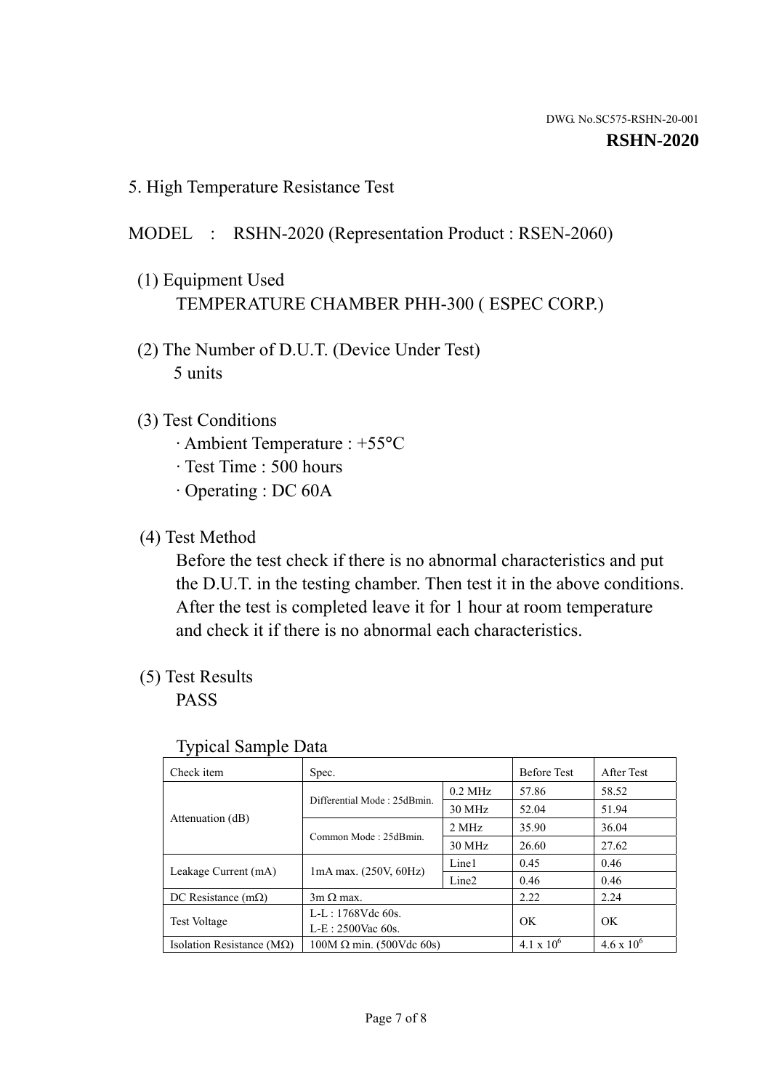5. High Temperature Resistance Test

#### MODEL : RSHN-2020 (Representation Product : RSEN-2060)

- (1) Equipment Used TEMPERATURE CHAMBER PHH-300 ( ESPEC CORP.)
- (2) The Number of D.U.T. (Device Under Test) 5 units
- (3) Test Conditions
	- · Ambient Temperature : +55°C
	- · Test Time : 500 hours
	- · Operating : DC 60A
- (4) Test Method

 Before the test check if there is no abnormal characteristics and put the D.U.T. in the testing chamber. Then test it in the above conditions. After the test is completed leave it for 1 hour at room temperature and check it if there is no abnormal each characteristics.

(5) Test Results

PASS

| ╯┸                                 |                                 |                   |                     |                     |
|------------------------------------|---------------------------------|-------------------|---------------------|---------------------|
| Check item                         | Spec.                           |                   | <b>Before Test</b>  | After Test          |
|                                    | Differential Mode: 25dBmin.     | $0.2$ MHz         | 57.86               | 58.52               |
|                                    |                                 | 30 MHz            | 52.04               | 51.94               |
| Attenuation (dB)                   | Common Mode: 25dBmin.           | 2 MHz             | 35.90               | 36.04               |
|                                    |                                 | 30 MHz            | 26.60               | 27.62               |
| Leakage Current (mA)               | $1mA$ max. $(250V, 60Hz)$       | Line1             | 0.45                | 0.46                |
|                                    |                                 | Line <sub>2</sub> | 0.46                | 0.46                |
| DC Resistance $(m\Omega)$          | $3m \Omega$ max.                |                   | 2.22                | 2.24                |
| <b>Test Voltage</b>                | $L-L: 1768Vdc$ 60s.             |                   | OK                  | OK                  |
|                                    | $L-E: 2500$ Vac 60s.            |                   |                     |                     |
| Isolation Resistance ( $M\Omega$ ) | $100M \Omega$ min. (500Vdc 60s) |                   | $4.1 \times 10^{6}$ | $4.6 \times 10^{6}$ |

#### Typical Sample Data